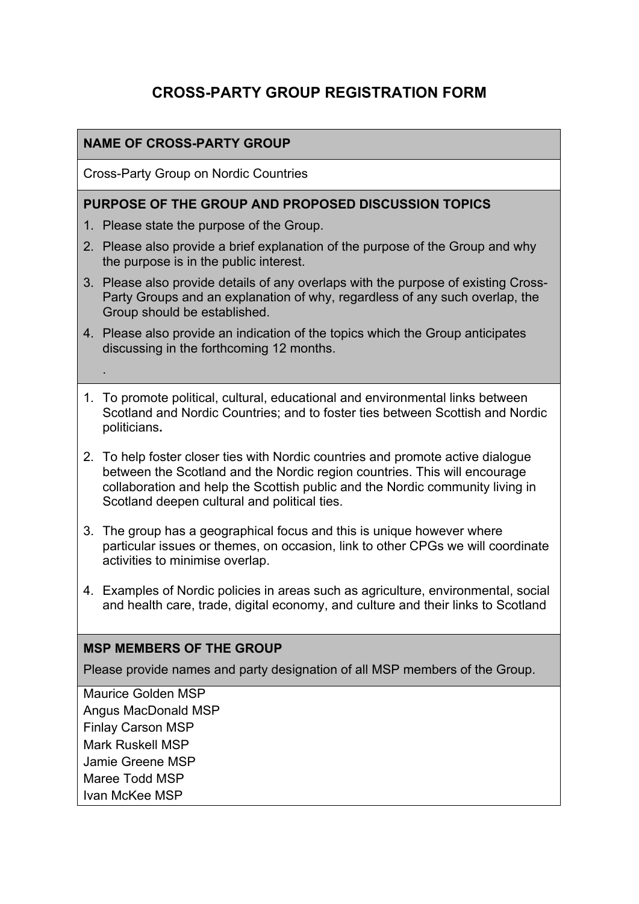# **CROSS-PARTY GROUP REGISTRATION FORM**

#### **NAME OF CROSS-PARTY GROUP**

Cross-Party Group on Nordic Countries

#### **PURPOSE OF THE GROUP AND PROPOSED DISCUSSION TOPICS**

- 1. Please state the purpose of the Group.
- 2. Please also provide a brief explanation of the purpose of the Group and why the purpose is in the public interest.
- 3. Please also provide details of any overlaps with the purpose of existing Cross-Party Groups and an explanation of why, regardless of any such overlap, the Group should be established.
- 4. Please also provide an indication of the topics which the Group anticipates discussing in the forthcoming 12 months.
- 1. To promote political, cultural, educational and environmental links between Scotland and Nordic Countries; and to foster ties between Scottish and Nordic politicians**.**
- 2. To help foster closer ties with Nordic countries and promote active dialogue between the Scotland and the Nordic region countries. This will encourage collaboration and help the Scottish public and the Nordic community living in Scotland deepen cultural and political ties.
- 3. The group has a geographical focus and this is unique however where particular issues or themes, on occasion, link to other CPGs we will coordinate activities to minimise overlap.
- 4. Examples of Nordic policies in areas such as agriculture, environmental, social and health care, trade, digital economy, and culture and their links to Scotland

#### **MSP MEMBERS OF THE GROUP**

Please provide names and party designation of all MSP members of the Group.

Maurice Golden MSP Angus MacDonald MSP Finlay Carson MSP Mark Ruskell MSP Jamie Greene MSP Maree Todd MSP Ivan McKee MSP

.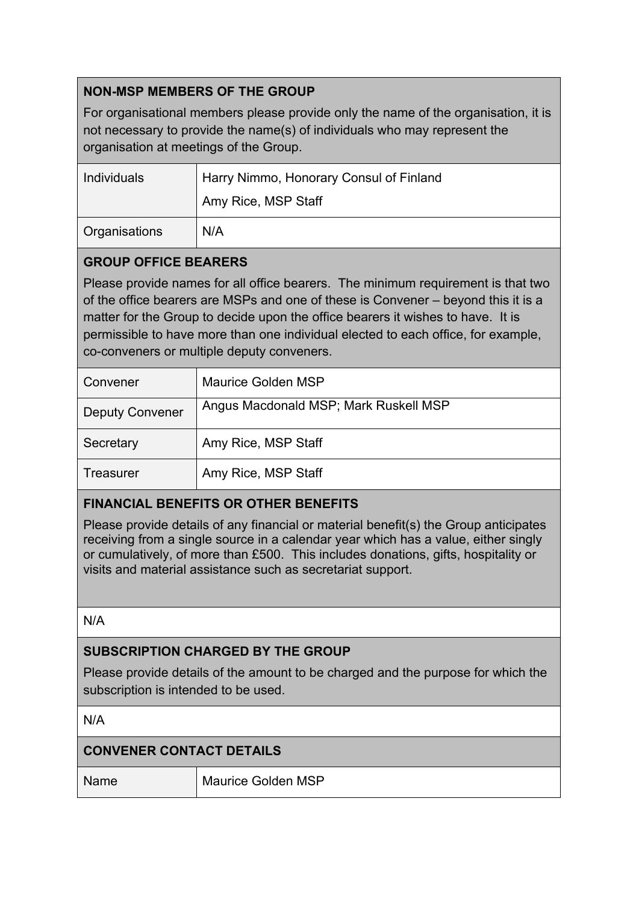# **NON-MSP MEMBERS OF THE GROUP**

For organisational members please provide only the name of the organisation, it is not necessary to provide the name(s) of individuals who may represent the organisation at meetings of the Group.

| Individuals          | Harry Nimmo, Honorary Consul of Finland |
|----------------------|-----------------------------------------|
|                      | Amy Rice, MSP Staff                     |
| <b>Organisations</b> | N/A                                     |

### **GROUP OFFICE BEARERS**

Please provide names for all office bearers. The minimum requirement is that two of the office bearers are MSPs and one of these is Convener – beyond this it is a matter for the Group to decide upon the office bearers it wishes to have. It is permissible to have more than one individual elected to each office, for example, co-conveners or multiple deputy conveners.

| Convener               | Maurice Golden MSP                    |
|------------------------|---------------------------------------|
| <b>Deputy Convener</b> | Angus Macdonald MSP; Mark Ruskell MSP |
| Secretary              | Amy Rice, MSP Staff                   |
| Treasurer              | Amy Rice, MSP Staff                   |

# **FINANCIAL BENEFITS OR OTHER BENEFITS**

Please provide details of any financial or material benefit(s) the Group anticipates receiving from a single source in a calendar year which has a value, either singly or cumulatively, of more than £500. This includes donations, gifts, hospitality or visits and material assistance such as secretariat support.

N/A

### **SUBSCRIPTION CHARGED BY THE GROUP**

Please provide details of the amount to be charged and the purpose for which the subscription is intended to be used.

N/A

# **CONVENER CONTACT DETAILS**

Name Maurice Golden MSP